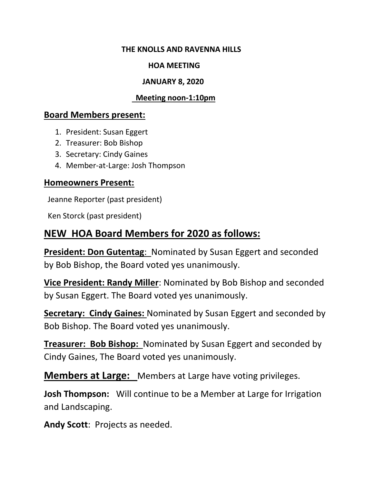#### **THE KNOLLS AND RAVENNA HILLS**

### **HOA MEETING**

### **JANUARY 8, 2020**

### **Meeting noon-1:10pm**

### **Board Members present:**

- 1. President: Susan Eggert
- 2. Treasurer: Bob Bishop
- 3. Secretary: Cindy Gaines
- 4. Member-at-Large: Josh Thompson

### **Homeowners Present:**

Jeanne Reporter (past president)

Ken Storck (past president)

# **NEW HOA Board Members for 2020 as follows:**

**President: Don Gutentag**: Nominated by Susan Eggert and seconded by Bob Bishop, the Board voted yes unanimously.

**Vice President: Randy Miller**: Nominated by Bob Bishop and seconded by Susan Eggert. The Board voted yes unanimously.

**Secretary: Cindy Gaines:** Nominated by Susan Eggert and seconded by Bob Bishop. The Board voted yes unanimously.

**Treasurer: Bob Bishop:** Nominated by Susan Eggert and seconded by Cindy Gaines, The Board voted yes unanimously.

**Members at Large:** Members at Large have voting privileges.

**Josh Thompson:** Will continue to be a Member at Large for Irrigation and Landscaping.

**Andy Scott**: Projects as needed.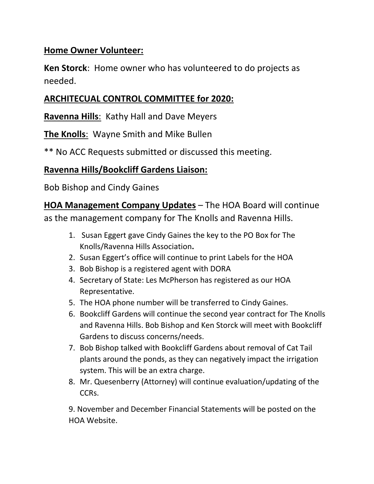## **Home Owner Volunteer:**

**Ken Storck**: Home owner who has volunteered to do projects as needed.

# **ARCHITECUAL CONTROL COMMITTEE for 2020:**

**Ravenna Hills**: Kathy Hall and Dave Meyers

**The Knolls**: Wayne Smith and Mike Bullen

\*\* No ACC Requests submitted or discussed this meeting.

# **Ravenna Hills/Bookcliff Gardens Liaison:**

Bob Bishop and Cindy Gaines

**HOA Management Company Updates** – The HOA Board will continue

as the management company for The Knolls and Ravenna Hills.

- 1. Susan Eggert gave Cindy Gaines the key to the PO Box for The Knolls/Ravenna Hills Association**.**
- 2. Susan Eggert's office will continue to print Labels for the HOA
- 3. Bob Bishop is a registered agent with DORA
- 4. Secretary of State: Les McPherson has registered as our HOA Representative.
- 5. The HOA phone number will be transferred to Cindy Gaines.
- 6. Bookcliff Gardens will continue the second year contract for The Knolls and Ravenna Hills. Bob Bishop and Ken Storck will meet with Bookcliff Gardens to discuss concerns/needs.
- 7. Bob Bishop talked with Bookcliff Gardens about removal of Cat Tail plants around the ponds, as they can negatively impact the irrigation system. This will be an extra charge.
- 8. Mr. Quesenberry (Attorney) will continue evaluation/updating of the CCRs.

9. November and December Financial Statements will be posted on the HOA Website.